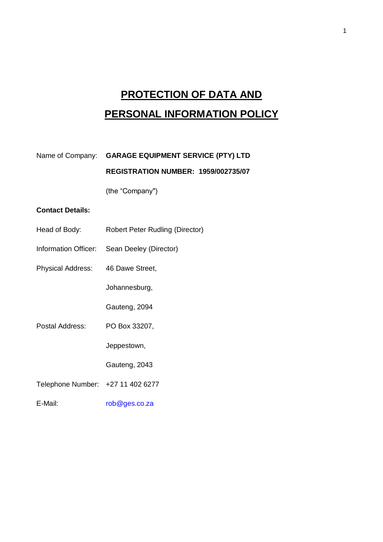# **PROTECTION OF DATA AND PERSONAL INFORMATION POLICY**

| Name of Company: GARAGE EQUIPMENT SERVICE (PTY) LTD |
|-----------------------------------------------------|
| <b>REGISTRATION NUMBER: 1959/002735/07</b>          |

(the "Company")

# **Contact Details:**

- Head of Body: Robert Peter Rudling (Director)
- Information Officer: Sean Deeley (Director)
- Physical Address: 46 Dawe Street,

Johannesburg,

Gauteng, 2094

Postal Address: PO Box 33207,

Jeppestown,

Gauteng, 2043

Telephone Number: +27 11 402 6277

E-Mail: [rob@ges.co.za](mailto:rob@ges.co.za)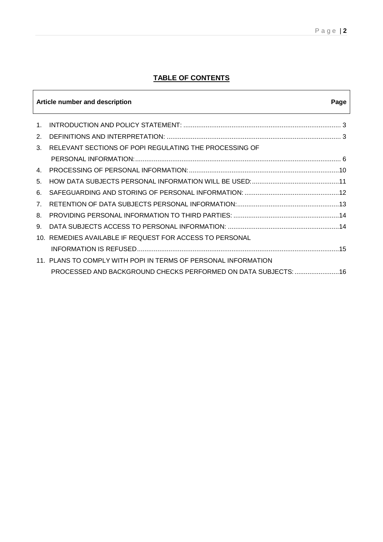# **TABLE OF CONTENTS**

| Article number and description<br>Page |                                                                 |
|----------------------------------------|-----------------------------------------------------------------|
| $\mathbf{1}$                           |                                                                 |
| 2.                                     |                                                                 |
| 3.                                     | RELEVANT SECTIONS OF POPI REGULATING THE PROCESSING OF          |
|                                        |                                                                 |
| 4                                      |                                                                 |
| 5.                                     |                                                                 |
| 6.                                     |                                                                 |
| 7 <sub>1</sub>                         |                                                                 |
| 8                                      |                                                                 |
| 9.                                     |                                                                 |
| 10.                                    | REMEDIES AVAILABLE IF REQUEST FOR ACCESS TO PERSONAL            |
|                                        |                                                                 |
|                                        | 11. PLANS TO COMPLY WITH POPI IN TERMS OF PERSONAL INFORMATION  |
|                                        | PROCESSED AND BACKGROUND CHECKS PERFORMED ON DATA SUBJECTS:  16 |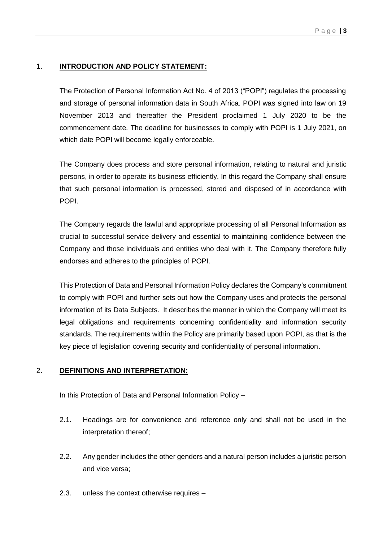## 1. **INTRODUCTION AND POLICY STATEMENT:**

The Protection of Personal Information Act No. 4 of 2013 ("POPI") regulates the processing and storage of personal information data in South Africa. POPI was signed into law on 19 November 2013 and thereafter the President proclaimed 1 July 2020 to be the commencement date. The deadline for businesses to comply with POPI is 1 July 2021, on which date POPI will become legally enforceable.

The Company does process and store personal information, relating to natural and juristic persons, in order to operate its business efficiently. In this regard the Company shall ensure that such personal information is processed, stored and disposed of in accordance with POPI.

The Company regards the lawful and appropriate processing of all Personal Information as crucial to successful service delivery and essential to maintaining confidence between the Company and those individuals and entities who deal with it. The Company therefore fully endorses and adheres to the principles of POPI.

This Protection of Data and Personal Information Policy declares the Company's commitment to comply with POPI and further sets out how the Company uses and protects the personal information of its Data Subjects. It describes the manner in which the Company will meet its legal obligations and requirements concerning confidentiality and information security standards. The requirements within the Policy are primarily based upon POPI, as that is the key piece of legislation covering security and confidentiality of personal information.

## 2. **DEFINITIONS AND INTERPRETATION:**

In this Protection of Data and Personal Information Policy –

- 2.1. Headings are for convenience and reference only and shall not be used in the interpretation thereof;
- 2.2. Any gender includes the other genders and a natural person includes a juristic person and vice versa;
- 2.3. unless the context otherwise requires –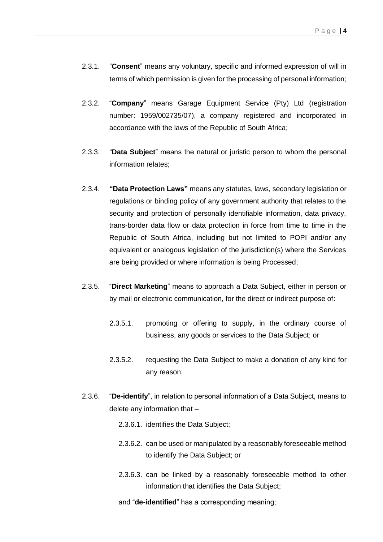- 2.3.1. "**Consent**" means any voluntary, specific and informed expression of will in terms of which permission is given for the processing of personal information;
- 2.3.2. "**Company**" means Garage Equipment Service (Pty) Ltd (registration number: 1959/002735/07), a company registered and incorporated in accordance with the laws of the Republic of South Africa;
- 2.3.3. "**Data Subject**" means the natural or juristic person to whom the personal information relates;
- 2.3.4. **"Data Protection Laws"** means any statutes, laws, secondary legislation or regulations or binding policy of any government authority that relates to the security and protection of personally identifiable information, data privacy, trans-border data flow or data protection in force from time to time in the Republic of South Africa, including but not limited to POPI and/or any equivalent or analogous legislation of the jurisdiction(s) where the Services are being provided or where information is being Processed;
- 2.3.5. "**Direct Marketing**" means to approach a Data Subject, either in person or by mail or electronic communication, for the direct or indirect purpose of:
	- 2.3.5.1. promoting or offering to supply, in the ordinary course of business, any goods or services to the Data Subject; or
	- 2.3.5.2. requesting the Data Subject to make a donation of any kind for any reason;
- 2.3.6. "**De-identify**", in relation to personal information of a Data Subject, means to delete any information that –
	- 2.3.6.1. identifies the Data Subject;
	- 2.3.6.2. can be used or manipulated by a reasonably foreseeable method to identify the Data Subject; or
	- 2.3.6.3. can be linked by a reasonably foreseeable method to other information that identifies the Data Subject;
	- and "**de-identified**" has a corresponding meaning;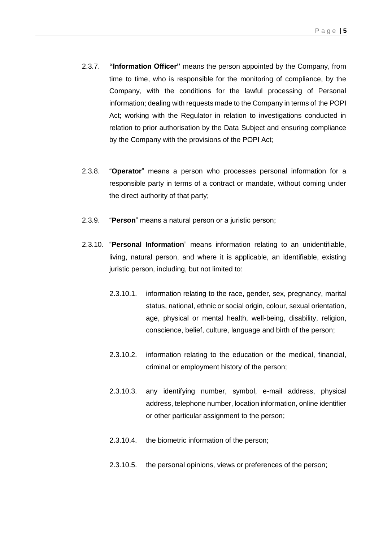- 2.3.7. **"Information Officer"** means the person appointed by the Company, from time to time, who is responsible for the monitoring of compliance, by the Company, with the conditions for the lawful processing of Personal information; dealing with requests made to the Company in terms of the POPI Act; working with the Regulator in relation to investigations conducted in relation to prior authorisation by the Data Subject and ensuring compliance by the Company with the provisions of the POPI Act;
- 2.3.8. "**Operator**" means a person who processes personal information for a responsible party in terms of a contract or mandate, without coming under the direct authority of that party;
- 2.3.9. "**Person**" means a natural person or a juristic person;
- 2.3.10. "**Personal Information**" means information relating to an unidentifiable, living, natural person, and where it is applicable, an identifiable, existing juristic person, including, but not limited to:
	- 2.3.10.1. information relating to the race, gender, sex, pregnancy, marital status, national, ethnic or social origin, colour, sexual orientation, age, physical or mental health, well-being, disability, religion, conscience, belief, culture, language and birth of the person;
	- 2.3.10.2. information relating to the education or the medical, financial, criminal or employment history of the person;
	- 2.3.10.3. any identifying number, symbol, e-mail address, physical address, telephone number, location information, online identifier or other particular assignment to the person;
	- 2.3.10.4. the biometric information of the person;
	- 2.3.10.5. the personal opinions, views or preferences of the person;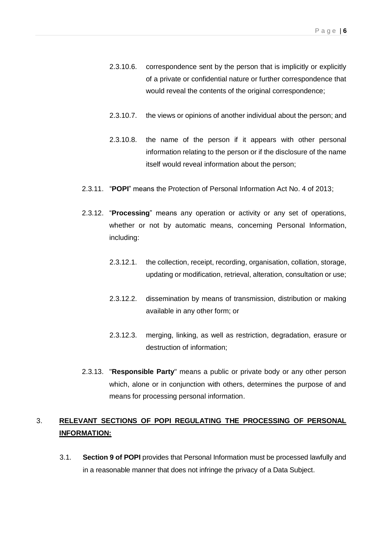- 2.3.10.6. correspondence sent by the person that is implicitly or explicitly of a private or confidential nature or further correspondence that would reveal the contents of the original correspondence;
- 2.3.10.7. the views or opinions of another individual about the person; and
- 2.3.10.8. the name of the person if it appears with other personal information relating to the person or if the disclosure of the name itself would reveal information about the person;
- 2.3.11. "**POPI**" means the Protection of Personal Information Act No. 4 of 2013;
- 2.3.12. "**Processing**" means any operation or activity or any set of operations, whether or not by automatic means, concerning Personal Information, including:
	- 2.3.12.1. the collection, receipt, recording, organisation, collation, storage, updating or modification, retrieval, alteration, consultation or use;
	- 2.3.12.2. dissemination by means of transmission, distribution or making available in any other form; or
	- 2.3.12.3. merging, linking, as well as restriction, degradation, erasure or destruction of information;
- 2.3.13. "**Responsible Party**" means a public or private body or any other person which, alone or in conjunction with others, determines the purpose of and means for processing personal information.

# 3. **RELEVANT SECTIONS OF POPI REGULATING THE PROCESSING OF PERSONAL INFORMATION:**

3.1. **Section 9 of POPI** provides that Personal Information must be processed lawfully and in a reasonable manner that does not infringe the privacy of a Data Subject.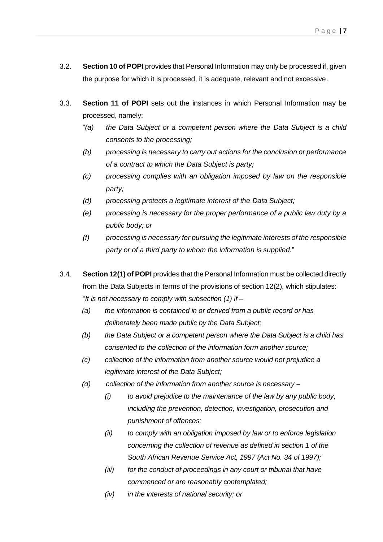- 3.2. **Section 10 of POPI** provides that Personal Information may only be processed if, given the purpose for which it is processed, it is adequate, relevant and not excessive.
- 3.3. **Section 11 of POPI** sets out the instances in which Personal Information may be processed, namely:
	- "*(a) the Data Subject or a competent person where the Data Subject is a child consents to the processing;*
	- *(b) processing is necessary to carry out actions for the conclusion or performance of a contract to which the Data Subject is party;*
	- *(c) processing complies with an obligation imposed by law on the responsible party;*
	- *(d) processing protects a legitimate interest of the Data Subject;*
	- *(e) processing is necessary for the proper performance of a public law duty by a public body; or*
	- *(f) processing is necessary for pursuing the legitimate interests of the responsible party or of a third party to whom the information is supplied.*"
- 3.4. **Section 12(1) of POPI** provides that the Personal Information must be collected directly from the Data Subjects in terms of the provisions of section 12(2), which stipulates: "*It is not necessary to comply with subsection (1) if –*
	- *(a) the information is contained in or derived from a public record or has deliberately been made public by the Data Subject;*
	- *(b) the Data Subject or a competent person where the Data Subject is a child has consented to the collection of the information form another source;*
	- *(c) collection of the information from another source would not prejudice a legitimate interest of the Data Subject;*
	- *(d) collection of the information from another source is necessary –*
		- *(i) to avoid prejudice to the maintenance of the law by any public body, including the prevention, detection, investigation, prosecution and punishment of offences;*
		- *(ii) to comply with an obligation imposed by law or to enforce legislation concerning the collection of revenue as defined in section 1 of the South African Revenue Service Act, 1997 (Act No. 34 of 1997);*
		- *(iii) for the conduct of proceedings in any court or tribunal that have commenced or are reasonably contemplated;*
		- *(iv) in the interests of national security; or*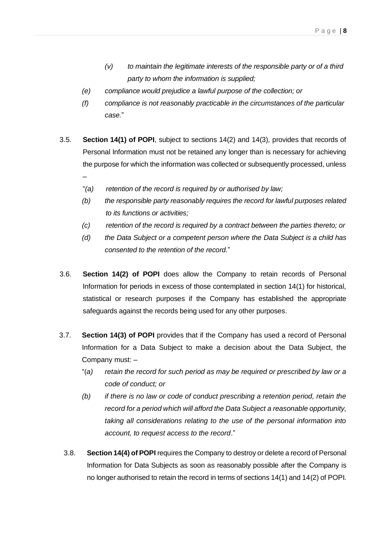- *(v) to maintain the legitimate interests of the responsible party or of a third party to whom the information is supplied;*
- *(e) compliance would prejudice a lawful purpose of the collection; or*
- *(f) compliance is not reasonably practicable in the circumstances of the particular case.*"
- 3.5. **Section 14(1) of POPI**, subject to sections 14(2) and 14(3), provides that records of Personal Information must not be retained any longer than is necessary for achieving the purpose for which the information was collected or subsequently processed, unless
	- "*(a) retention of the record is required by or authorised by law;*

–

- *(b) the responsible party reasonably requires the record for lawful purposes related to its functions or activities;*
- *(c) retention of the record is required by a contract between the parties thereto; or*
- *(d) the Data Subject or a competent person where the Data Subject is a child has consented to the retention of the record.*"
- 3.6. **Section 14(2) of POPI** does allow the Company to retain records of Personal Information for periods in excess of those contemplated in section 14(1) for historical, statistical or research purposes if the Company has established the appropriate safeguards against the records being used for any other purposes.
- 3.7. **Section 14(3) of POPI** provides that if the Company has used a record of Personal Information for a Data Subject to make a decision about the Data Subject, the Company must: –
	- "(*a) retain the record for such period as may be required or prescribed by law or a code of conduct; or*
	- *(b) if there is no law or code of conduct prescribing a retention period, retain the record for a period which will afford the Data Subject a reasonable opportunity, taking all considerations relating to the use of the personal information into account, to request access to the record*."
	- 3.8. **Section 14(4) of POPI** requires the Company to destroy or delete a record of Personal Information for Data Subjects as soon as reasonably possible after the Company is no longer authorised to retain the record in terms of sections 14(1) and 14(2) of POPI.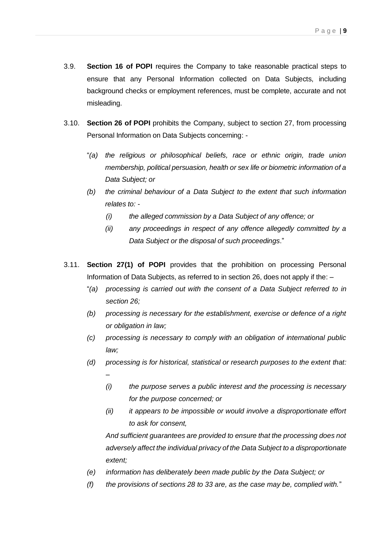- 3.9. **Section 16 of POPI** requires the Company to take reasonable practical steps to ensure that any Personal Information collected on Data Subjects, including background checks or employment references, must be complete, accurate and not misleading.
- 3.10. **Section 26 of POPI** prohibits the Company, subject to section 27, from processing Personal Information on Data Subjects concerning: -
	- "*(a) the religious or philosophical beliefs, race or ethnic origin, trade union membership, political persuasion, health or sex life or biometric information of a Data Subject; or*
	- *(b) the criminal behaviour of a Data Subject to the extent that such information relates to: -*
		- *(i) the alleged commission by a Data Subject of any offence; or*
		- *(ii) any proceedings in respect of any offence allegedly committed by a Data Subject or the disposal of such proceedings*."
- 3.11. **Section 27(1) of POPI** provides that the prohibition on processing Personal Information of Data Subjects, as referred to in section 26, does not apply if the: –
	- "*(a) processing is carried out with the consent of a Data Subject referred to in section 26;*
	- *(b) processing is necessary for the establishment, exercise or defence of a right or obligation in law;*
	- *(c) processing is necessary to comply with an obligation of international public law;*
	- *(d) processing is for historical, statistical or research purposes to the extent that: –*
		- *(i) the purpose serves a public interest and the processing is necessary for the purpose concerned; or*
		- *(ii) it appears to be impossible or would involve a disproportionate effort to ask for consent,*

*And sufficient guarantees are provided to ensure that the processing does not adversely affect the individual privacy of the Data Subject to a disproportionate extent;*

- *(e) information has deliberately been made public by the Data Subject; or*
- *(f) the provisions of sections 28 to 33 are, as the case may be, complied with.*"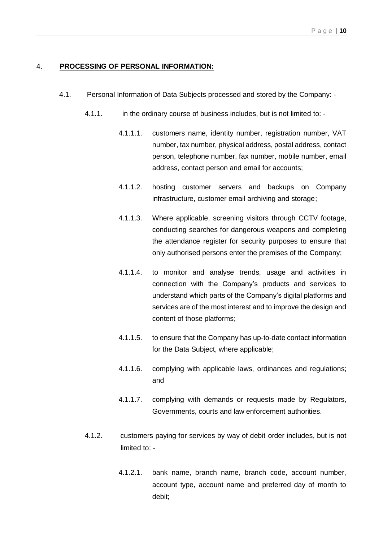#### 4. **PROCESSING OF PERSONAL INFORMATION:**

- 4.1. Personal Information of Data Subjects processed and stored by the Company:
	- 4.1.1. in the ordinary course of business includes, but is not limited to:
		- 4.1.1.1. customers name, identity number, registration number, VAT number, tax number, physical address, postal address, contact person, telephone number, fax number, mobile number, email address, contact person and email for accounts;
		- 4.1.1.2. hosting customer servers and backups on Company infrastructure, customer email archiving and storage;
		- 4.1.1.3. Where applicable, screening visitors through CCTV footage, conducting searches for dangerous weapons and completing the attendance register for security purposes to ensure that only authorised persons enter the premises of the Company;
		- 4.1.1.4. to monitor and analyse trends, usage and activities in connection with the Company's products and services to understand which parts of the Company's digital platforms and services are of the most interest and to improve the design and content of those platforms;
		- 4.1.1.5. to ensure that the Company has up-to-date contact information for the Data Subject, where applicable;
		- 4.1.1.6. complying with applicable laws, ordinances and regulations; and
		- 4.1.1.7. complying with demands or requests made by Regulators, Governments, courts and law enforcement authorities.
	- 4.1.2. customers paying for services by way of debit order includes, but is not limited to: -
		- 4.1.2.1. bank name, branch name, branch code, account number, account type, account name and preferred day of month to debit;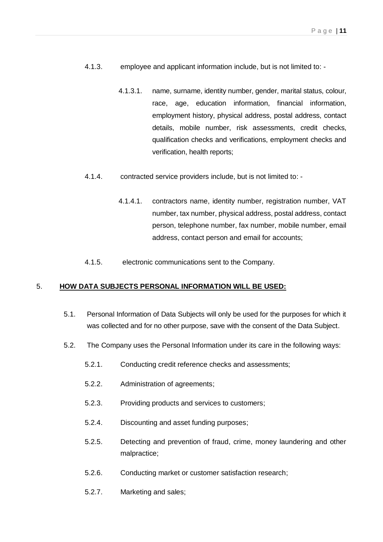- 4.1.3. employee and applicant information include, but is not limited to:
	- 4.1.3.1. name, surname, identity number, gender, marital status, colour, race, age, education information, financial information, employment history, physical address, postal address, contact details, mobile number, risk assessments, credit checks, qualification checks and verifications, employment checks and verification, health reports;
- 4.1.4. contracted service providers include, but is not limited to:
	- 4.1.4.1. contractors name, identity number, registration number, VAT number, tax number, physical address, postal address, contact person, telephone number, fax number, mobile number, email address, contact person and email for accounts;
- 4.1.5. electronic communications sent to the Company.

#### 5. **HOW DATA SUBJECTS PERSONAL INFORMATION WILL BE USED:**

- 5.1. Personal Information of Data Subjects will only be used for the purposes for which it was collected and for no other purpose, save with the consent of the Data Subject.
- 5.2. The Company uses the Personal Information under its care in the following ways:
	- 5.2.1. Conducting credit reference checks and assessments;
	- 5.2.2. Administration of agreements;
	- 5.2.3. Providing products and services to customers;
	- 5.2.4. Discounting and asset funding purposes;
	- 5.2.5. Detecting and prevention of fraud, crime, money laundering and other malpractice;
	- 5.2.6. Conducting market or customer satisfaction research;
	- 5.2.7. Marketing and sales;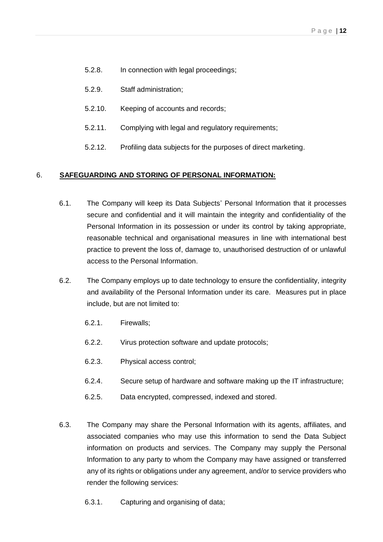- 5.2.8. In connection with legal proceedings;
- 5.2.9. Staff administration;
- 5.2.10. Keeping of accounts and records;
- 5.2.11. Complying with legal and regulatory requirements;
- 5.2.12. Profiling data subjects for the purposes of direct marketing.

## 6. **SAFEGUARDING AND STORING OF PERSONAL INFORMATION:**

- 6.1. The Company will keep its Data Subjects' Personal Information that it processes secure and confidential and it will maintain the integrity and confidentiality of the Personal Information in its possession or under its control by taking appropriate, reasonable technical and organisational measures in line with international best practice to prevent the loss of, damage to, unauthorised destruction of or unlawful access to the Personal Information.
- 6.2. The Company employs up to date technology to ensure the confidentiality, integrity and availability of the Personal Information under its care. Measures put in place include, but are not limited to:
	- 6.2.1. Firewalls;
	- 6.2.2. Virus protection software and update protocols;
	- 6.2.3. Physical access control;
	- 6.2.4. Secure setup of hardware and software making up the IT infrastructure;
	- 6.2.5. Data encrypted, compressed, indexed and stored.
- 6.3. The Company may share the Personal Information with its agents, affiliates, and associated companies who may use this information to send the Data Subject information on products and services. The Company may supply the Personal Information to any party to whom the Company may have assigned or transferred any of its rights or obligations under any agreement, and/or to service providers who render the following services:
	- 6.3.1. Capturing and organising of data;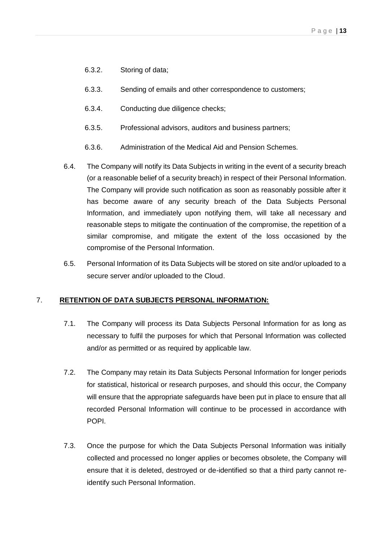- 6.3.2. Storing of data;
- 6.3.3. Sending of emails and other correspondence to customers;
- 6.3.4. Conducting due diligence checks;
- 6.3.5. Professional advisors, auditors and business partners;
- 6.3.6. Administration of the Medical Aid and Pension Schemes.
- 6.4. The Company will notify its Data Subjects in writing in the event of a security breach (or a reasonable belief of a security breach) in respect of their Personal Information. The Company will provide such notification as soon as reasonably possible after it has become aware of any security breach of the Data Subjects Personal Information, and immediately upon notifying them, will take all necessary and reasonable steps to mitigate the continuation of the compromise, the repetition of a similar compromise, and mitigate the extent of the loss occasioned by the compromise of the Personal Information.
- 6.5. Personal Information of its Data Subjects will be stored on site and/or uploaded to a secure server and/or uploaded to the Cloud.

#### 7. **RETENTION OF DATA SUBJECTS PERSONAL INFORMATION:**

- 7.1. The Company will process its Data Subjects Personal Information for as long as necessary to fulfil the purposes for which that Personal Information was collected and/or as permitted or as required by applicable law.
- 7.2. The Company may retain its Data Subjects Personal Information for longer periods for statistical, historical or research purposes, and should this occur, the Company will ensure that the appropriate safeguards have been put in place to ensure that all recorded Personal Information will continue to be processed in accordance with POPI.
- 7.3. Once the purpose for which the Data Subjects Personal Information was initially collected and processed no longer applies or becomes obsolete, the Company will ensure that it is deleted, destroyed or de-identified so that a third party cannot reidentify such Personal Information.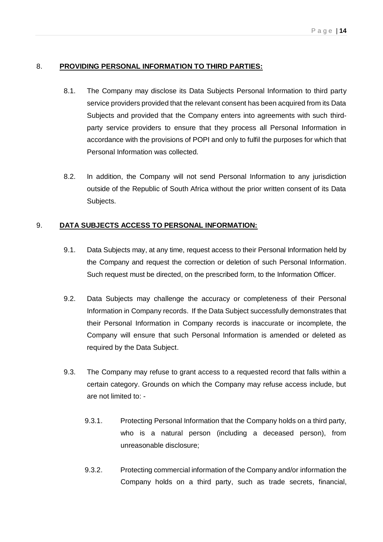## 8. **PROVIDING PERSONAL INFORMATION TO THIRD PARTIES:**

- 8.1. The Company may disclose its Data Subjects Personal Information to third party service providers provided that the relevant consent has been acquired from its Data Subjects and provided that the Company enters into agreements with such thirdparty service providers to ensure that they process all Personal Information in accordance with the provisions of POPI and only to fulfil the purposes for which that Personal Information was collected.
- 8.2. In addition, the Company will not send Personal Information to any jurisdiction outside of the Republic of South Africa without the prior written consent of its Data Subjects.

## 9. **DATA SUBJECTS ACCESS TO PERSONAL INFORMATION:**

- 9.1. Data Subjects may, at any time, request access to their Personal Information held by the Company and request the correction or deletion of such Personal Information. Such request must be directed, on the prescribed form, to the Information Officer.
- 9.2. Data Subjects may challenge the accuracy or completeness of their Personal Information in Company records. If the Data Subject successfully demonstrates that their Personal Information in Company records is inaccurate or incomplete, the Company will ensure that such Personal Information is amended or deleted as required by the Data Subject.
- 9.3. The Company may refuse to grant access to a requested record that falls within a certain category. Grounds on which the Company may refuse access include, but are not limited to: -
	- 9.3.1. Protecting Personal Information that the Company holds on a third party, who is a natural person (including a deceased person), from unreasonable disclosure;
	- 9.3.2. Protecting commercial information of the Company and/or information the Company holds on a third party, such as trade secrets, financial,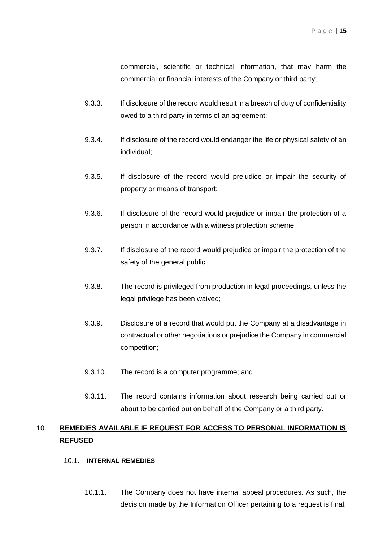commercial, scientific or technical information, that may harm the commercial or financial interests of the Company or third party;

- 9.3.3. If disclosure of the record would result in a breach of duty of confidentiality owed to a third party in terms of an agreement;
- 9.3.4. If disclosure of the record would endanger the life or physical safety of an individual;
- 9.3.5. If disclosure of the record would prejudice or impair the security of property or means of transport;
- 9.3.6. If disclosure of the record would prejudice or impair the protection of a person in accordance with a witness protection scheme;
- 9.3.7. If disclosure of the record would prejudice or impair the protection of the safety of the general public;
- 9.3.8. The record is privileged from production in legal proceedings, unless the legal privilege has been waived;
- 9.3.9. Disclosure of a record that would put the Company at a disadvantage in contractual or other negotiations or prejudice the Company in commercial competition;
- 9.3.10. The record is a computer programme; and
- 9.3.11. The record contains information about research being carried out or about to be carried out on behalf of the Company or a third party.

# 10. **REMEDIES AVAILABLE IF REQUEST FOR ACCESS TO PERSONAL INFORMATION IS REFUSED**

#### 10.1. **INTERNAL REMEDIES**

10.1.1. The Company does not have internal appeal procedures. As such, the decision made by the Information Officer pertaining to a request is final,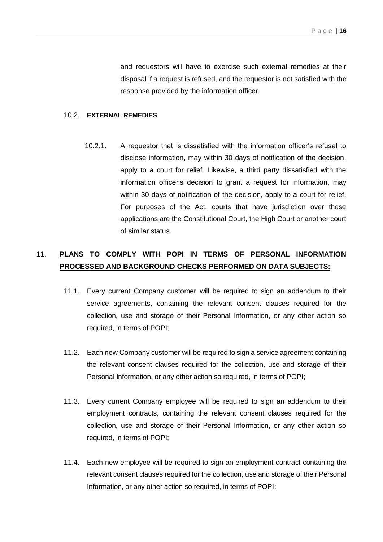and requestors will have to exercise such external remedies at their disposal if a request is refused, and the requestor is not satisfied with the response provided by the information officer.

#### 10.2. **EXTERNAL REMEDIES**

10.2.1. A requestor that is dissatisfied with the information officer's refusal to disclose information, may within 30 days of notification of the decision, apply to a court for relief. Likewise, a third party dissatisfied with the information officer's decision to grant a request for information, may within 30 days of notification of the decision, apply to a court for relief. For purposes of the Act, courts that have jurisdiction over these applications are the Constitutional Court, the High Court or another court of similar status.

# 11. **PLANS TO COMPLY WITH POPI IN TERMS OF PERSONAL INFORMATION PROCESSED AND BACKGROUND CHECKS PERFORMED ON DATA SUBJECTS:**

- 11.1. Every current Company customer will be required to sign an addendum to their service agreements, containing the relevant consent clauses required for the collection, use and storage of their Personal Information, or any other action so required, in terms of POPI;
- 11.2. Each new Company customer will be required to sign a service agreement containing the relevant consent clauses required for the collection, use and storage of their Personal Information, or any other action so required, in terms of POPI;
- 11.3. Every current Company employee will be required to sign an addendum to their employment contracts, containing the relevant consent clauses required for the collection, use and storage of their Personal Information, or any other action so required, in terms of POPI;
- 11.4. Each new employee will be required to sign an employment contract containing the relevant consent clauses required for the collection, use and storage of their Personal Information, or any other action so required, in terms of POPI;